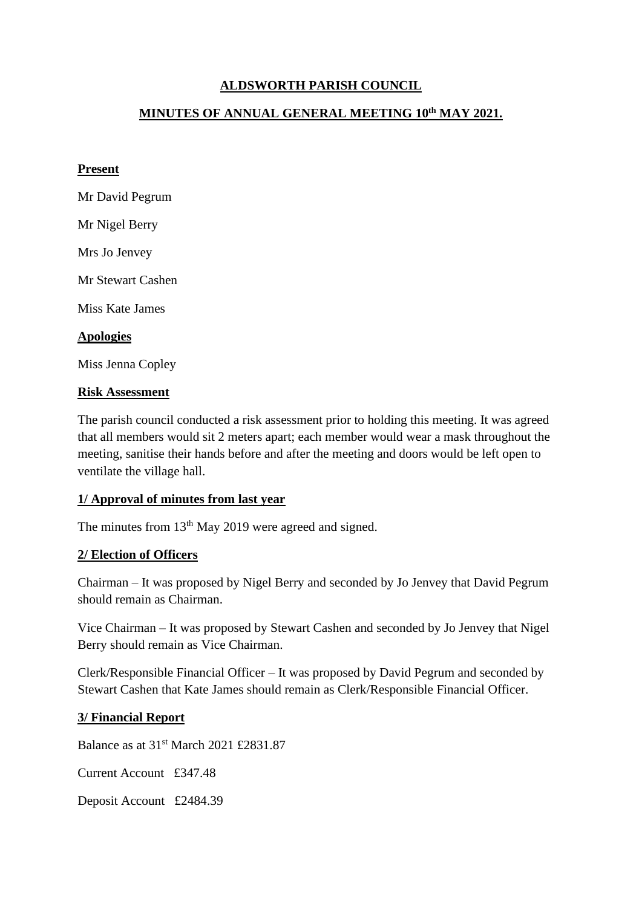# **ALDSWORTH PARISH COUNCIL**

## **MINUTES OF ANNUAL GENERAL MEETING 10 th MAY 2021.**

### **Present**

Mr David Pegrum Mr Nigel Berry Mrs Jo Jenvey Mr Stewart Cashen Miss Kate James **Apologies** Miss Jenna Copley

### **Risk Assessment**

The parish council conducted a risk assessment prior to holding this meeting. It was agreed that all members would sit 2 meters apart; each member would wear a mask throughout the meeting, sanitise their hands before and after the meeting and doors would be left open to ventilate the village hall.

### **1/ Approval of minutes from last year**

The minutes from  $13<sup>th</sup>$  May 2019 were agreed and signed.

### **2/ Election of Officers**

Chairman – It was proposed by Nigel Berry and seconded by Jo Jenvey that David Pegrum should remain as Chairman.

Vice Chairman – It was proposed by Stewart Cashen and seconded by Jo Jenvey that Nigel Berry should remain as Vice Chairman.

Clerk/Responsible Financial Officer – It was proposed by David Pegrum and seconded by Stewart Cashen that Kate James should remain as Clerk/Responsible Financial Officer.

#### **3/ Financial Report**

Balance as at 31st March 2021 £2831.87

Current Account £347.48

Deposit Account £2484.39